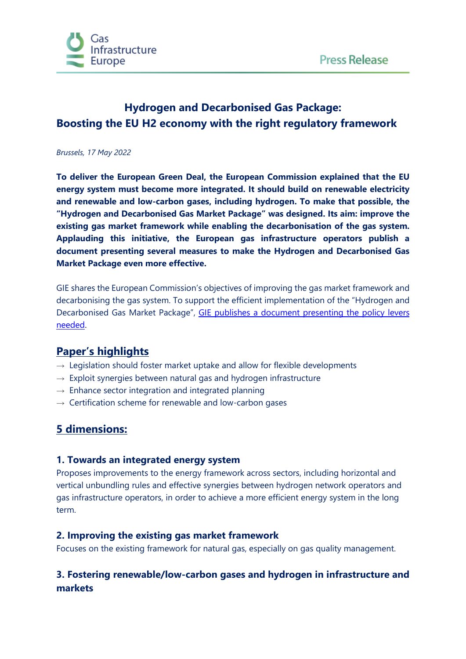

# **Hydrogen and Decarbonised Gas Package: Boosting the EU H2 economy with the right regulatory framework**

#### *Brussels, 17 May 2022*

**To deliver the European Green Deal, the European Commission explained that the EU energy system must become more integrated. It should build on renewable electricity and renewable and low-carbon gases, including hydrogen. To make that possible, the "Hydrogen and Decarbonised Gas Market Package" was designed. Its aim: improve the existing gas market framework while enabling the decarbonisation of the gas system. Applauding this initiative, the European gas infrastructure operators publish a document presenting several measures to make the Hydrogen and Decarbonised Gas Market Package even more effective.**

GIE shares the European Commission's objectives of improving the gas market framework and decarbonising the gas system. To support the efficient implementation of the "Hydrogen and Decarbonised Gas Market Package", [GIE publishes a document presenting the policy levers](https://www.gie.eu/wp-content/uploads/filr/7091/GIE_Narrative_on_Hydrogen_and_Decarbonised_Gas_Market_Package.pdf)  [needed.](https://www.gie.eu/wp-content/uploads/filr/7091/GIE_Narrative_on_Hydrogen_and_Decarbonised_Gas_Market_Package.pdf)

### **Paper's highlights**

- $\rightarrow$  Legislation should foster market uptake and allow for flexible developments
- $\rightarrow$  Exploit synergies between natural gas and hydrogen infrastructure
- $\rightarrow$  Enhance sector integration and integrated planning
- $\rightarrow$  Certification scheme for renewable and low-carbon gases

## **5 dimensions:**

#### **1. Towards an integrated energy system**

Proposes improvements to the energy framework across sectors, including horizontal and vertical unbundling rules and effective synergies between hydrogen network operators and gas infrastructure operators, in order to achieve a more efficient energy system in the long term.

#### **2. Improving the existing gas market framework**

Focuses on the existing framework for natural gas, especially on gas quality management.

### **3. Fostering renewable/low-carbon gases and hydrogen in infrastructure and markets**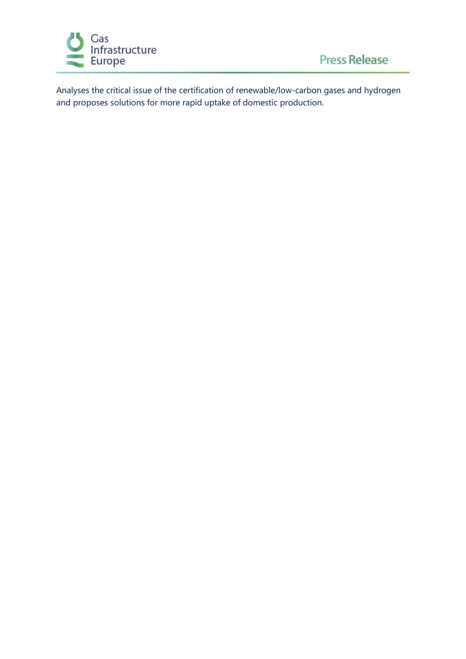

Analyses the critical issue of the certification of renewable/low-carbon gases and hydrogen and proposes solutions for more rapid uptake of domestic production.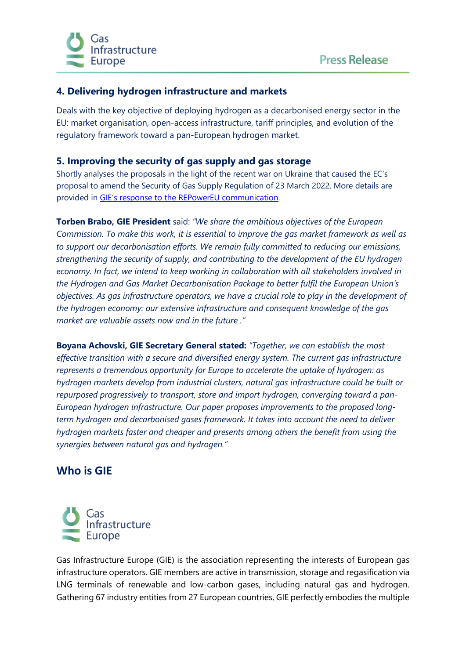

### **4. Delivering hydrogen infrastructure and markets**

Deals with the key objective of deploying hydrogen as a decarbonised energy sector in the EU: market organisation, open-access infrastructure, tariff principles, and evolution of the regulatory framework toward a pan-European hydrogen market.

#### **5. Improving the security of gas supply and gas storage**

Shortly analyses the proposals in the light of the recent war on Ukraine that caused the EC's proposal to amend the Security of Gas Supply Regulation of 23 March 2022. More details are provided in [GIE's response to the REPowerEU communication.](https://www.gie.eu/press/making-repowereu-successful-with-gas-infrastructure/)

**Torben Brabo, GIE President** said: *"We share the ambitious objectives of the European Commission. To make this work, it is essential to improve the gas market framework as well as to support our decarbonisation efforts. We remain fully committed to reducing our emissions, strengthening the security of supply, and contributing to the development of the EU hydrogen economy. In fact, we intend to keep working in collaboration with all stakeholders involved in the Hydrogen and Gas Market Decarbonisation Package to better fulfil the European Union's objectives. As gas infrastructure operators, we have a crucial role to play in the development of the hydrogen economy: our extensive infrastructure and consequent knowledge of the gas market are valuable assets now and in the future ."*

**Boyana Achovski, GIE Secretary General stated:** *"Together, we can establish the most effective transition with a secure and diversified energy system. The current gas infrastructure represents a tremendous opportunity for Europe to accelerate the uptake of hydrogen: as hydrogen markets develop from industrial clusters, natural gas infrastructure could be built or*  repurposed progressively to transport, store and import hydrogen, converging toward a pan-*European hydrogen infrastructure. Our paper proposes improvements to the proposed longterm hydrogen and decarbonised gases framework. It takes into account the need to deliver hydrogen markets faster and cheaper and presents among others the benefit from using the synergies between natural gas and hydrogen."*

## **Who is GIE**



Gas Infrastructure Europe (GIE) is the association representing the interests of European gas infrastructure operators. GIE members are active in transmission, storage and regasification via LNG terminals of renewable and low-carbon gases, including natural gas and hydrogen. Gathering 67 industry entities from 27 European countries, GIE perfectly embodies the multiple